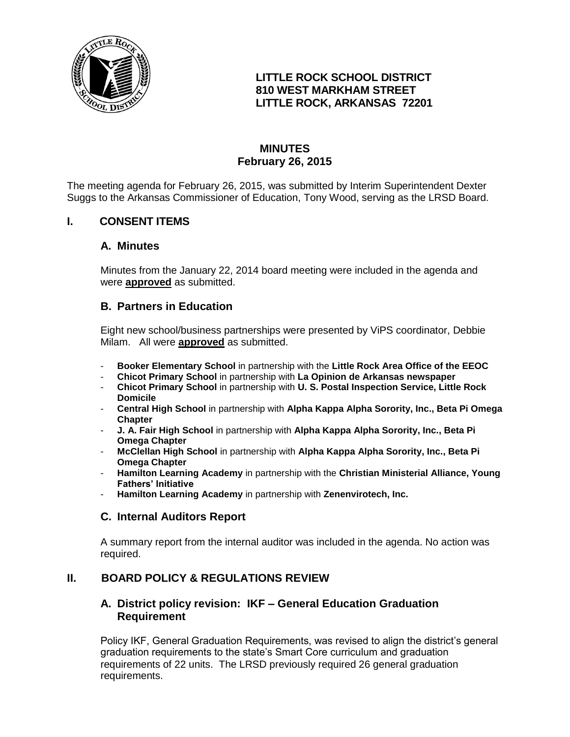

# **LITTLE ROCK SCHOOL DISTRICT 810 WEST MARKHAM STREET LITTLE ROCK, ARKANSAS 72201**

# **MINUTES February 26, 2015**

The meeting agenda for February 26, 2015, was submitted by Interim Superintendent Dexter Suggs to the Arkansas Commissioner of Education, Tony Wood, serving as the LRSD Board.

# **I. CONSENT ITEMS**

#### **A. Minutes**

Minutes from the January 22, 2014 board meeting were included in the agenda and were **approved** as submitted.

#### **B. Partners in Education**

Eight new school/business partnerships were presented by ViPS coordinator, Debbie Milam. All were **approved** as submitted.

- **Booker Elementary School** in partnership with the **Little Rock Area Office of the EEOC**
- **Chicot Primary School** in partnership with **La Opinion de Arkansas newspaper**
- **Chicot Primary School** in partnership with **U. S. Postal Inspection Service, Little Rock Domicile**
- **Central High School** in partnership with **Alpha Kappa Alpha Sorority, Inc., Beta Pi Omega Chapter**
- **J. A. Fair High School** in partnership with **Alpha Kappa Alpha Sorority, Inc., Beta Pi Omega Chapter**
- **McClellan High School** in partnership with **Alpha Kappa Alpha Sorority, Inc., Beta Pi Omega Chapter**
- **Hamilton Learning Academy** in partnership with the **Christian Ministerial Alliance, Young Fathers' Initiative**
- **Hamilton Learning Academy** in partnership with **Zenenvirotech, Inc.**

# **C. Internal Auditors Report**

A summary report from the internal auditor was included in the agenda. No action was required.

# **II. BOARD POLICY & REGULATIONS REVIEW**

# **A. District policy revision: IKF – General Education Graduation Requirement**

Policy IKF, General Graduation Requirements, was revised to align the district's general graduation requirements to the state's Smart Core curriculum and graduation requirements of 22 units. The LRSD previously required 26 general graduation requirements.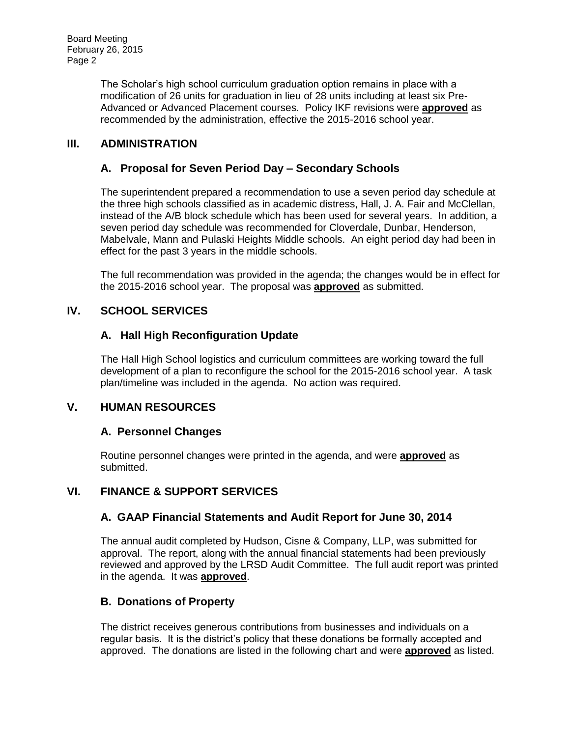Board Meeting February 26, 2015 Page 2

> The Scholar's high school curriculum graduation option remains in place with a modification of 26 units for graduation in lieu of 28 units including at least six Pre-Advanced or Advanced Placement courses. Policy IKF revisions were **approved** as recommended by the administration, effective the 2015-2016 school year.

# **III. ADMINISTRATION**

# **A. Proposal for Seven Period Day – Secondary Schools**

The superintendent prepared a recommendation to use a seven period day schedule at the three high schools classified as in academic distress, Hall, J. A. Fair and McClellan, instead of the A/B block schedule which has been used for several years. In addition, a seven period day schedule was recommended for Cloverdale, Dunbar, Henderson, Mabelvale, Mann and Pulaski Heights Middle schools. An eight period day had been in effect for the past 3 years in the middle schools.

The full recommendation was provided in the agenda; the changes would be in effect for the 2015-2016 school year. The proposal was **approved** as submitted.

# **IV. SCHOOL SERVICES**

#### **A. Hall High Reconfiguration Update**

The Hall High School logistics and curriculum committees are working toward the full development of a plan to reconfigure the school for the 2015-2016 school year. A task plan/timeline was included in the agenda. No action was required.

# **V. HUMAN RESOURCES**

#### **A. Personnel Changes**

Routine personnel changes were printed in the agenda, and were **approved** as submitted.

# **VI. FINANCE & SUPPORT SERVICES**

#### **A. GAAP Financial Statements and Audit Report for June 30, 2014**

The annual audit completed by Hudson, Cisne & Company, LLP, was submitted for approval. The report, along with the annual financial statements had been previously reviewed and approved by the LRSD Audit Committee. The full audit report was printed in the agenda. It was **approved**.

#### **B. Donations of Property**

The district receives generous contributions from businesses and individuals on a regular basis. It is the district's policy that these donations be formally accepted and approved. The donations are listed in the following chart and were **approved** as listed.